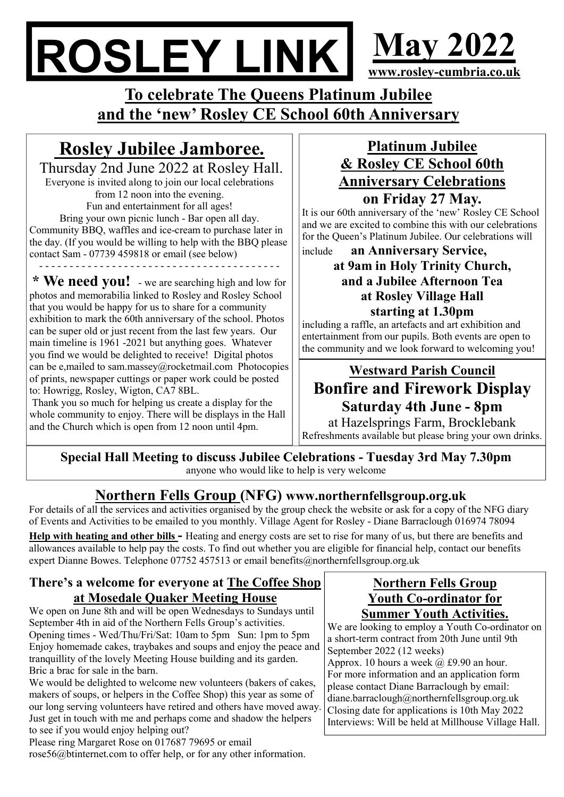# ROSLEY LINK May 2022 www.rosley-cumbria.co.uk

To celebrate The Queens Platinum Jubilee and the 'new' Rosley CE School 60th Anniversary

# Rosley Jubilee Jamboree.

 Thursday 2nd June 2022 at Rosley Hall. Everyone is invited along to join our local celebrations from 12 noon into the evening. Fun and entertainment for all ages! Bring your own picnic lunch - Bar open all day. Community BBQ, waffles and ice-cream to purchase later in the day. (If you would be willing to help with the BBQ please contact Sam - 07739 459818 or email (see below) - - - - - - - - - - - - - - - - - - - - - - - - - - - - - - - - - - - - - - - -

\* We need you! - we are searching high and low for photos and memorabilia linked to Rosley and Rosley School that you would be happy for us to share for a community exhibition to mark the 60th anniversary of the school. Photos can be super old or just recent from the last few years. Our main timeline is 1961 -2021 but anything goes. Whatever you find we would be delighted to receive! Digital photos can be e,mailed to sam.massey@rocketmail.com Photocopies of prints, newspaper cuttings or paper work could be posted to: Howrigg, Rosley, Wigton, CA7 8BL.

 Thank you so much for helping us create a display for the whole community to enjoy. There will be displays in the Hall and the Church which is open from 12 noon until 4pm.

## Platinum Jubilee & Rosley CE School 60th Anniversary Celebrations on Friday 27 May.

It is our 60th anniversary of the 'new' Rosley CE School and we are excited to combine this with our celebrations for the Queen's Platinum Jubilee. Our celebrations will

#### include an Anniversary Service, at 9am in Holy Trinity Church, and a Jubilee Afternoon Tea at Rosley Village Hall starting at 1.30pm

including a raffle, an artefacts and art exhibition and entertainment from our pupils. Both events are open to the community and we look forward to welcoming you!

# Westward Parish Council Bonfire and Firework Display Saturday 4th June - 8pm

at Hazelsprings Farm, Brocklebank Refreshments available but please bring your own drinks.

Special Hall Meeting to discuss Jubilee Celebrations - Tuesday 3rd May 7.30pm anyone who would like to help is very welcome

# Northern Fells Group (NFG) www.northernfellsgroup.org.uk

For details of all the services and activities organised by the group check the website or ask for a copy of the NFG diary of Events and Activities to be emailed to you monthly. Village Agent for Rosley - Diane Barraclough 016974 78094

Help with heating and other bills - Heating and energy costs are set to rise for many of us, but there are benefits and allowances available to help pay the costs. To find out whether you are eligible for financial help, contact our benefits expert Dianne Bowes. Telephone 07752 457513 or email benefits@northernfellsgroup.org.uk

#### There's a welcome for everyone at The Coffee Shop at Mosedale Quaker Meeting House

We open on June 8th and will be open Wednesdays to Sundays until September 4th in aid of the Northern Fells Group's activities. Opening times - Wed/Thu/Fri/Sat: 10am to 5pm Sun: 1pm to 5pm Enjoy homemade cakes, traybakes and soups and enjoy the peace and tranquillity of the lovely Meeting House building and its garden. Bric a brac for sale in the barn.

We would be delighted to welcome new volunteers (bakers of cakes, makers of soups, or helpers in the Coffee Shop) this year as some of our long serving volunteers have retired and others have moved away. Just get in touch with me and perhaps come and shadow the helpers to see if you would enjoy helping out?

Please ring Margaret Rose on 017687 79695 or email rose56@btinternet.com to offer help, or for any other information.

#### Northern Fells Group Youth Co-ordinator for Summer Youth Activities.

We are looking to employ a Youth Co-ordinator on a short-term contract from 20th June until 9th September 2022 (12 weeks) Approx. 10 hours a week  $\omega$  £9.90 an hour. For more information and an application form please contact Diane Barraclough by email: diane.barraclough@northernfellsgroup.org.uk Closing date for applications is 10th May 2022 Interviews: Will be held at Millhouse Village Hall.